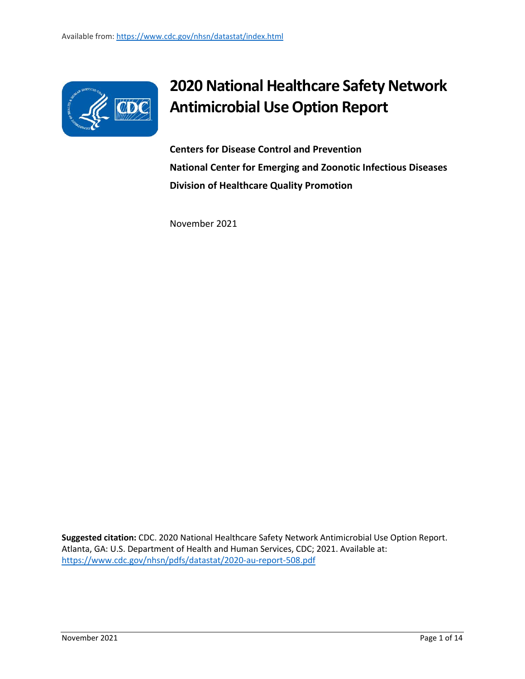

## **2020 National Healthcare Safety Network Antimicrobial Use Option Report**

**Centers for Disease Control and Prevention National Center for Emerging and Zoonotic Infectious Diseases Division of Healthcare Quality Promotion**

November 2021

**Suggested citation:** CDC. 2020 National Healthcare Safety Network Antimicrobial Use Option Report. Atlanta, GA: U.S. Department of Health and Human Services, CDC; 2021. Available at: <https://www.cdc.gov/nhsn/pdfs/datastat/2020-au-report-508.pdf>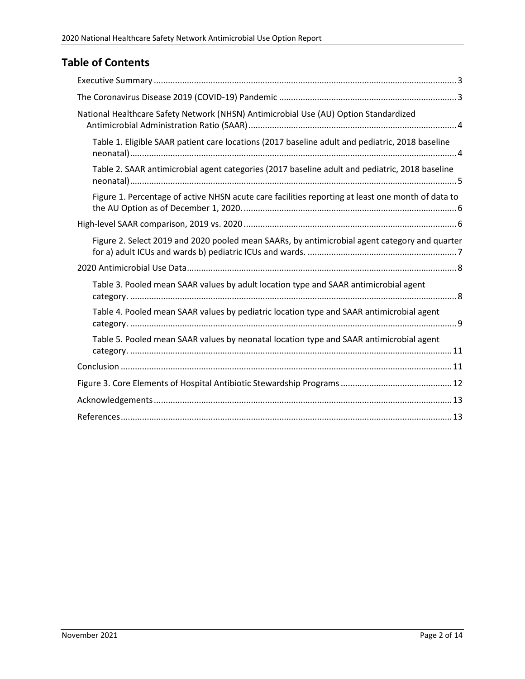### **Table of Contents**

| National Healthcare Safety Network (NHSN) Antimicrobial Use (AU) Option Standardized              |
|---------------------------------------------------------------------------------------------------|
| Table 1. Eligible SAAR patient care locations (2017 baseline adult and pediatric, 2018 baseline   |
| Table 2. SAAR antimicrobial agent categories (2017 baseline adult and pediatric, 2018 baseline    |
| Figure 1. Percentage of active NHSN acute care facilities reporting at least one month of data to |
|                                                                                                   |
| Figure 2. Select 2019 and 2020 pooled mean SAARs, by antimicrobial agent category and quarter     |
|                                                                                                   |
| Table 3. Pooled mean SAAR values by adult location type and SAAR antimicrobial agent              |
| Table 4. Pooled mean SAAR values by pediatric location type and SAAR antimicrobial agent          |
| Table 5. Pooled mean SAAR values by neonatal location type and SAAR antimicrobial agent           |
|                                                                                                   |
|                                                                                                   |
|                                                                                                   |
|                                                                                                   |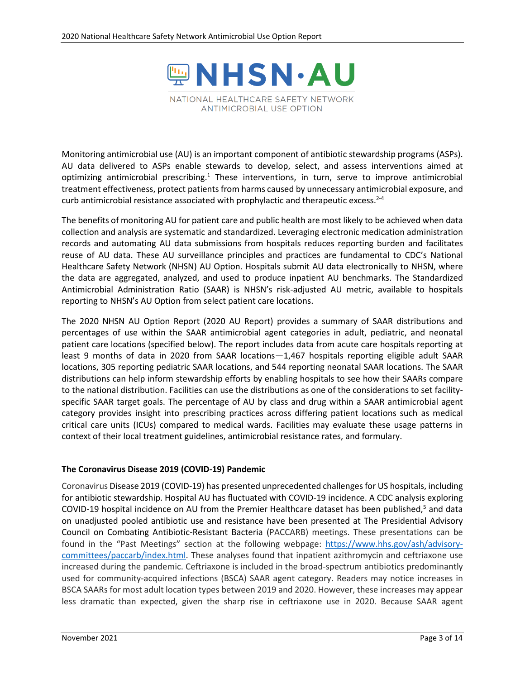

<span id="page-2-0"></span>Monitoring antimicrobial use (AU) is an important component of antibiotic stewardship programs (ASPs). AU data delivered to ASPs enable stewards to develop, select, and assess interventions aimed at optimizing antimicrobial prescribing.<sup>1</sup> These interventions, in turn, serve to improve antimicrobial treatment effectiveness, protect patients from harms caused by unnecessary antimicrobial exposure, and curb antimicrobial resistance associated with prophylactic and therapeutic excess. $2-4$ 

The benefits of monitoring AU for patient care and public health are most likely to be achieved when data collection and analysis are systematic and standardized. Leveraging electronic medication administration records and automating AU data submissions from hospitals reduces reporting burden and facilitates reuse of AU data. These AU surveillance principles and practices are fundamental to CDC's National Healthcare Safety Network (NHSN) AU Option. Hospitals submit AU data electronically to NHSN, where the data are aggregated, analyzed, and used to produce inpatient AU benchmarks. The Standardized Antimicrobial Administration Ratio (SAAR) is NHSN's risk-adjusted AU metric, available to hospitals reporting to NHSN's AU Option from select patient care locations.

The 2020 NHSN AU Option Report (2020 AU Report) provides a summary of SAAR distributions and percentages of use within the SAAR antimicrobial agent categories in adult, pediatric, and neonatal patient care locations (specified below). The report includes data from acute care hospitals reporting at least 9 months of data in 2020 from SAAR locations—1,467 hospitals reporting eligible adult SAAR locations, 305 reporting pediatric SAAR locations, and 544 reporting neonatal SAAR locations. The SAAR distributions can help inform stewardship efforts by enabling hospitals to see how their SAARs compare to the national distribution. Facilities can use the distributions as one of the considerations to set facilityspecific SAAR target goals. The percentage of AU by class and drug within a SAAR antimicrobial agent category provides insight into prescribing practices across differing patient locations such as medical critical care units (ICUs) compared to medical wards. Facilities may evaluate these usage patterns in context of their local treatment guidelines, antimicrobial resistance rates, and formulary.

#### <span id="page-2-1"></span>**The Coronavirus Disease 2019 (COVID-19) Pandemic**

Coronavirus Disease 2019 (COVID-19) has presented unprecedented challenges for US hospitals, including for antibiotic stewardship. Hospital AU has fluctuated with COVID-19 incidence. A CDC analysis exploring COVID-19 hospital incidence on AU from the Premier Healthcare dataset has been published, <sup>5</sup> and data on unadjusted pooled antibiotic use and resistance have been presented at The Presidential Advisory Council on Combating Antibiotic-Resistant Bacteria (PACCARB) meetings. These presentations can be found in the "Past Meetings" section at the following webpage: [https://www.hhs.gov/ash/advisory](https://www.hhs.gov/ash/advisory-committees/paccarb/index.html)[committees/paccarb/index.html.](https://www.hhs.gov/ash/advisory-committees/paccarb/index.html) These analyses found that inpatient azithromycin and ceftriaxone use increased during the pandemic. Ceftriaxone is included in the broad-spectrum antibiotics predominantly used for community-acquired infections (BSCA) SAAR agent category. Readers may notice increases in BSCA SAARs for most adult location types between 2019 and 2020. However, these increases may appear less dramatic than expected, given the sharp rise in ceftriaxone use in 2020. Because SAAR agent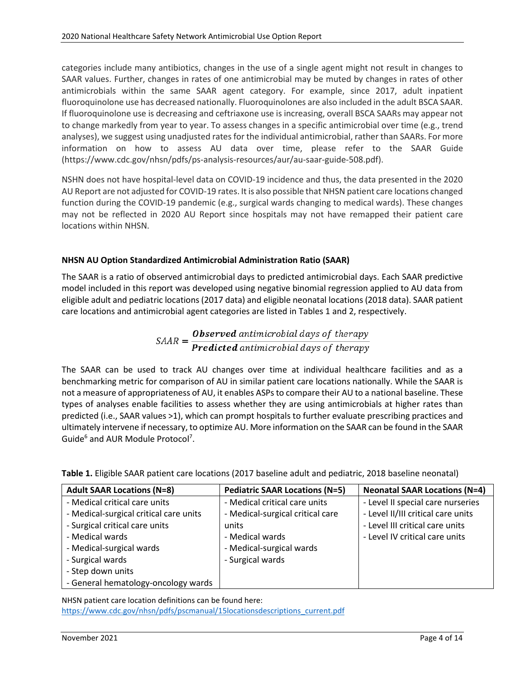categories include many antibiotics, changes in the use of a single agent might not result in changes to SAAR values. Further, changes in rates of one antimicrobial may be muted by changes in rates of other antimicrobials within the same SAAR agent category. For example, since 2017, adult inpatient fluoroquinolone use has decreased nationally. Fluoroquinolones are also included in the adult BSCA SAAR. If fluoroquinolone use is decreasing and ceftriaxone use is increasing, overall BSCA SAARs may appear not to change markedly from year to year. To assess changes in a specific antimicrobial over time (e.g., trend analyses), we suggest using unadjusted rates for the individual antimicrobial, rather than SAARs. For more information on how to assess AU data over time, please refer to the SAAR Guide (https://www.cdc.gov/nhsn/pdfs/ps-analysis-resources/aur/au-saar-guide-508.pdf).

NSHN does not have hospital-level data on COVID-19 incidence and thus, the data presented in the 2020 AU Report are not adjusted for COVID-19 rates. It is also possible that NHSN patient care locations changed function during the COVID-19 pandemic (e.g., surgical wards changing to medical wards). These changes may not be reflected in 2020 AU Report since hospitals may not have remapped their patient care locations within NHSN.

#### <span id="page-3-0"></span>**NHSN AU Option Standardized Antimicrobial Administration Ratio (SAAR)**

The SAAR is a ratio of observed antimicrobial days to predicted antimicrobial days. Each SAAR predictive model included in this report was developed using negative binomial regression applied to AU data from eligible adult and pediatric locations (2017 data) and eligible neonatal locations (2018 data). SAAR patient care locations and antimicrobial agent categories are listed in Tables 1 and 2, respectively.

# $S A A R = \frac{\boldsymbol{0} \textit{b} served \textit{ antimicrobial \textit{days} of \textit{theory}}}{\boldsymbol{Predicted \textit{antimit}~robial \textit{days} \textit{of \textit{theory}}}}$

The SAAR can be used to track AU changes over time at individual healthcare facilities and as a benchmarking metric for comparison of AU in similar patient care locations nationally. While the SAAR is not a measure of appropriateness of AU, it enables ASPs to compare their AU to a national baseline. These types of analyses enable facilities to assess whether they are using antimicrobials at higher rates than predicted (i.e., SAAR values >1), which can prompt hospitals to further evaluate prescribing practices and ultimately intervene if necessary, to optimize AU. More information on the SAAR can be found in the SAAR Guide<sup>6</sup> and AUR Module Protocol<sup>7</sup>.

| <b>Adult SAAR Locations (N=8)</b>                                                                                                                                            | <b>Pediatric SAAR Locations (N=5)</b>                                                                                                         | <b>Neonatal SAAR Locations (N=4)</b>                                                                                                         |
|------------------------------------------------------------------------------------------------------------------------------------------------------------------------------|-----------------------------------------------------------------------------------------------------------------------------------------------|----------------------------------------------------------------------------------------------------------------------------------------------|
| - Medical critical care units<br>- Medical-surgical critical care units<br>- Surgical critical care units<br>- Medical wards<br>- Medical-surgical wards<br>- Surgical wards | - Medical critical care units<br>- Medical-surgical critical care<br>units<br>- Medical wards<br>- Medical-surgical wards<br>- Surgical wards | - Level II special care nurseries<br>- Level II/III critical care units<br>- Level III critical care units<br>- Level IV critical care units |
| - Step down units<br>- General hematology-oncology wards                                                                                                                     |                                                                                                                                               |                                                                                                                                              |

<span id="page-3-1"></span>**Table 1.** Eligible SAAR patient care locations (2017 baseline adult and pediatric, 2018 baseline neonatal)

NHSN patient care location definitions can be found here: [https://www.cdc.gov/nhsn/pdfs/pscmanual/15locationsdescriptions\\_current.pdf](https://www.cdc.gov/nhsn/pdfs/pscmanual/15locationsdescriptions_current.pdf)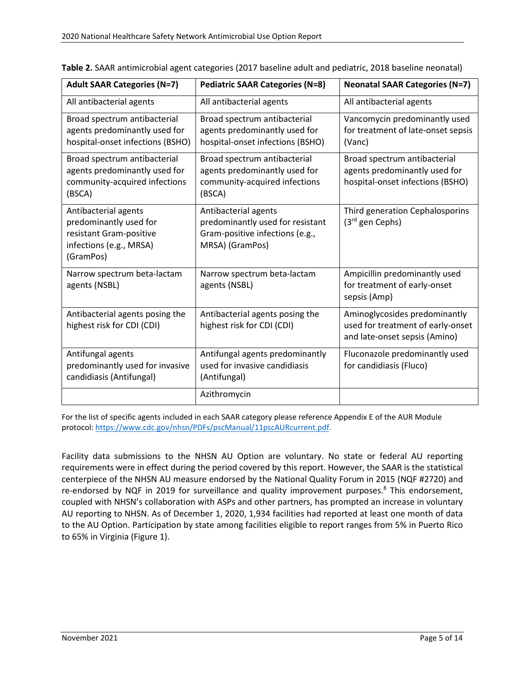| <b>Adult SAAR Categories (N=7)</b>                                                                                | <b>Pediatric SAAR Categories (N=8)</b>                                                                         | <b>Neonatal SAAR Categories (N=7)</b>                                                               |
|-------------------------------------------------------------------------------------------------------------------|----------------------------------------------------------------------------------------------------------------|-----------------------------------------------------------------------------------------------------|
| All antibacterial agents                                                                                          | All antibacterial agents                                                                                       | All antibacterial agents                                                                            |
| Broad spectrum antibacterial<br>agents predominantly used for<br>hospital-onset infections (BSHO)                 | Broad spectrum antibacterial<br>agents predominantly used for<br>hospital-onset infections (BSHO)              | Vancomycin predominantly used<br>for treatment of late-onset sepsis<br>(Vanc)                       |
| Broad spectrum antibacterial<br>agents predominantly used for<br>community-acquired infections<br>(BSCA)          | Broad spectrum antibacterial<br>agents predominantly used for<br>community-acquired infections<br>(BSCA)       | Broad spectrum antibacterial<br>agents predominantly used for<br>hospital-onset infections (BSHO)   |
| Antibacterial agents<br>predominantly used for<br>resistant Gram-positive<br>infections (e.g., MRSA)<br>(GramPos) | Antibacterial agents<br>predominantly used for resistant<br>Gram-positive infections (e.g.,<br>MRSA) (GramPos) | Third generation Cephalosporins<br>$(3rd$ gen Cephs)                                                |
| Narrow spectrum beta-lactam<br>agents (NSBL)                                                                      | Narrow spectrum beta-lactam<br>agents (NSBL)                                                                   | Ampicillin predominantly used<br>for treatment of early-onset<br>sepsis (Amp)                       |
| Antibacterial agents posing the<br>highest risk for CDI (CDI)                                                     | Antibacterial agents posing the<br>highest risk for CDI (CDI)                                                  | Aminoglycosides predominantly<br>used for treatment of early-onset<br>and late-onset sepsis (Amino) |
| Antifungal agents<br>predominantly used for invasive<br>candidiasis (Antifungal)                                  | Antifungal agents predominantly<br>used for invasive candidiasis<br>(Antifungal)                               | Fluconazole predominantly used<br>for candidiasis (Fluco)                                           |
|                                                                                                                   | Azithromycin                                                                                                   |                                                                                                     |

<span id="page-4-0"></span>**Table 2.** SAAR antimicrobial agent categories (2017 baseline adult and pediatric, 2018 baseline neonatal)

For the list of specific agents included in each SAAR category please reference Appendix E of the AUR Module protocol[: https://www.cdc.gov/nhsn/PDFs/pscManual/11pscAURcurrent.pdf.](https://www.cdc.gov/nhsn/PDFs/pscManual/11pscAURcurrent.pdf)

Facility data submissions to the NHSN AU Option are voluntary. No state or federal AU reporting requirements were in effect during the period covered by this report. However, the SAAR is the statistical centerpiece of the NHSN AU measure endorsed by the National Quality Forum in 2015 (NQF #2720) and re-endorsed by NQF in 2019 for surveillance and quality improvement purposes.<sup>8</sup> This endorsement, coupled with NHSN's collaboration with ASPs and other partners, has prompted an increase in voluntary AU reporting to NHSN. As of December 1, 2020, 1,934 facilities had reported at least one month of data to the AU Option. Participation by state among facilities eligible to report ranges from 5% in Puerto Rico to 65% in Virginia (Figure 1).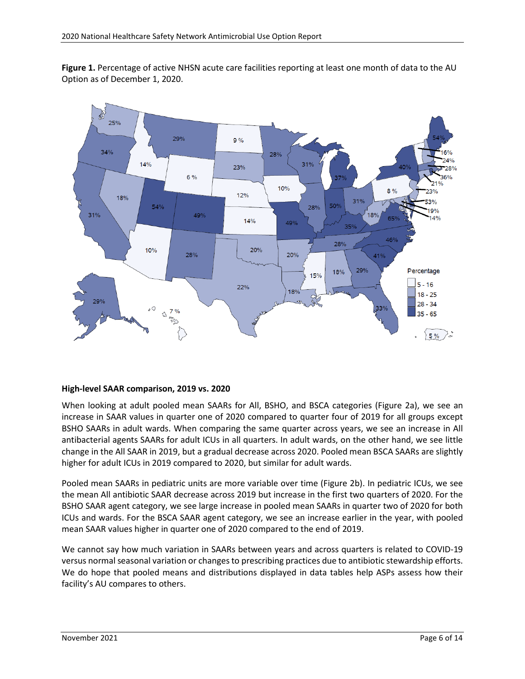<span id="page-5-0"></span>**Figure 1.** Percentage of active NHSN acute care facilities reporting at least one month of data to the AU Option as of December 1, 2020.



#### <span id="page-5-1"></span>**High-level SAAR comparison, 2019 vs. 2020**

When looking at adult pooled mean SAARs for All, BSHO, and BSCA categories (Figure 2a), we see an increase in SAAR values in quarter one of 2020 compared to quarter four of 2019 for all groups except BSHO SAARs in adult wards. When comparing the same quarter across years, we see an increase in All antibacterial agents SAARs for adult ICUs in all quarters. In adult wards, on the other hand, we see little change in the All SAAR in 2019, but a gradual decrease across 2020. Pooled mean BSCA SAARs are slightly higher for adult ICUs in 2019 compared to 2020, but similar for adult wards.

Pooled mean SAARs in pediatric units are more variable over time (Figure 2b). In pediatric ICUs, we see the mean All antibiotic SAAR decrease across 2019 but increase in the first two quarters of 2020. For the BSHO SAAR agent category, we see large increase in pooled mean SAARs in quarter two of 2020 for both ICUs and wards. For the BSCA SAAR agent category, we see an increase earlier in the year, with pooled mean SAAR values higher in quarter one of 2020 compared to the end of 2019.

We cannot say how much variation in SAARs between years and across quarters is related to COVID-19 versus normal seasonal variation or changes to prescribing practices due to antibiotic stewardship efforts. We do hope that pooled means and distributions displayed in data tables help ASPs assess how their facility's AU compares to others.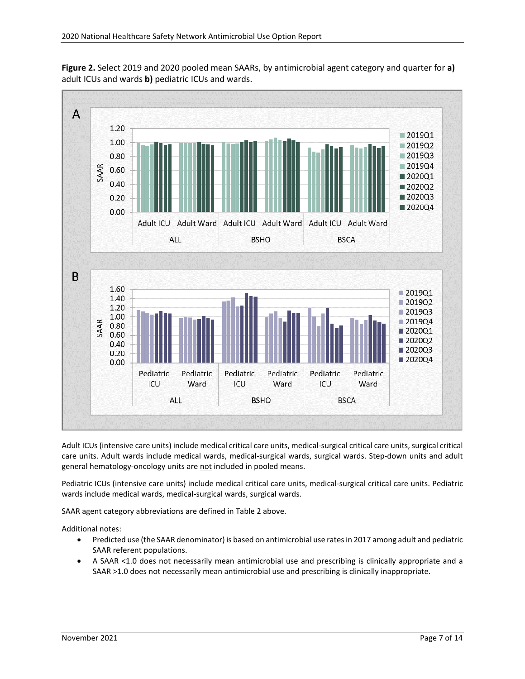<span id="page-6-0"></span>



Adult ICUs (intensive care units) include medical critical care units, medical-surgical critical care units, surgical critical care units. Adult wards include medical wards, medical-surgical wards, surgical wards. Step-down units and adult general hematology-oncology units are not included in pooled means.

Pediatric ICUs (intensive care units) include medical critical care units, medical-surgical critical care units. Pediatric wards include medical wards, medical-surgical wards, surgical wards.

SAAR agent category abbreviations are defined in Table 2 above.

Additional notes:

- Predicted use (the SAAR denominator) is based on antimicrobial use ratesin 2017 among adult and pediatric SAAR referent populations.
- <span id="page-6-1"></span>• A SAAR <1.0 does not necessarily mean antimicrobial use and prescribing is clinically appropriate and a SAAR >1.0 does not necessarily mean antimicrobial use and prescribing is clinically inappropriate.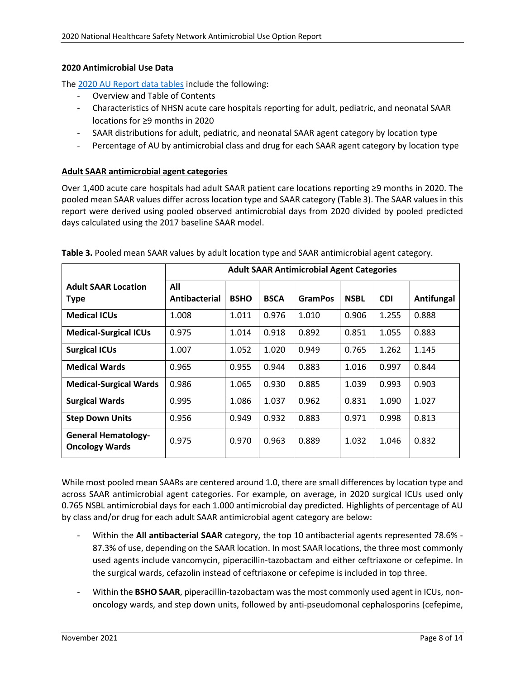#### **2020 Antimicrobial Use Data**

The 2020 [AU Report data tables](https://www.cdc.gov/nhsn/pdfs/datastat/2020-au-report-datatables.xlsx) include the following:

- Overview and Table of Contents
- Characteristics of NHSN acute care hospitals reporting for adult, pediatric, and neonatal SAAR locations for ≥9 months in 2020
- SAAR distributions for adult, pediatric, and neonatal SAAR agent category by location type
- Percentage of AU by antimicrobial class and drug for each SAAR agent category by location type

#### **Adult SAAR antimicrobial agent categories**

Over 1,400 acute care hospitals had adult SAAR patient care locations reporting ≥9 months in 2020. The pooled mean SAAR values differ across location type and SAAR category (Table 3). The SAAR values in this report were derived using pooled observed antimicrobial days from 2020 divided by pooled predicted days calculated using the 2017 baseline SAAR model.

|                                                     | <b>Adult SAAR Antimicrobial Agent Categories</b> |             |             |                |             |            |            |  |
|-----------------------------------------------------|--------------------------------------------------|-------------|-------------|----------------|-------------|------------|------------|--|
| <b>Adult SAAR Location</b><br><b>Type</b>           | All<br>Antibacterial                             | <b>BSHO</b> | <b>BSCA</b> | <b>GramPos</b> | <b>NSBL</b> | <b>CDI</b> | Antifungal |  |
| <b>Medical ICUs</b>                                 | 1.008                                            | 1.011       | 0.976       | 1.010          | 0.906       | 1.255      | 0.888      |  |
| <b>Medical-Surgical ICUs</b>                        | 0.975                                            | 1.014       | 0.918       | 0.892          | 0.851       | 1.055      | 0.883      |  |
| <b>Surgical ICUs</b>                                | 1.007                                            | 1.052       | 1.020       | 0.949          | 0.765       | 1.262      | 1.145      |  |
| <b>Medical Wards</b>                                | 0.965                                            | 0.955       | 0.944       | 0.883          | 1.016       | 0.997      | 0.844      |  |
| <b>Medical-Surgical Wards</b>                       | 0.986                                            | 1.065       | 0.930       | 0.885          | 1.039       | 0.993      | 0.903      |  |
| <b>Surgical Wards</b>                               | 0.995                                            | 1.086       | 1.037       | 0.962          | 0.831       | 1.090      | 1.027      |  |
| <b>Step Down Units</b>                              | 0.956                                            | 0.949       | 0.932       | 0.883          | 0.971       | 0.998      | 0.813      |  |
| <b>General Hematology-</b><br><b>Oncology Wards</b> | 0.975                                            | 0.970       | 0.963       | 0.889          | 1.032       | 1.046      | 0.832      |  |

<span id="page-7-0"></span>**Table 3.** Pooled mean SAAR values by adult location type and SAAR antimicrobial agent category.

While most pooled mean SAARs are centered around 1.0, there are small differences by location type and across SAAR antimicrobial agent categories. For example, on average, in 2020 surgical ICUs used only 0.765 NSBL antimicrobial days for each 1.000 antimicrobial day predicted. Highlights of percentage of AU by class and/or drug for each adult SAAR antimicrobial agent category are below:

- Within the **All antibacterial SAAR** category, the top 10 antibacterial agents represented 78.6% 87.3% of use, depending on the SAAR location. In most SAAR locations, the three most commonly used agents include vancomycin, piperacillin-tazobactam and either ceftriaxone or cefepime. In the surgical wards, cefazolin instead of ceftriaxone or cefepime is included in top three.
- Within the **BSHO SAAR**, piperacillin-tazobactam was the most commonly used agent in ICUs, nononcology wards, and step down units, followed by anti-pseudomonal cephalosporins (cefepime,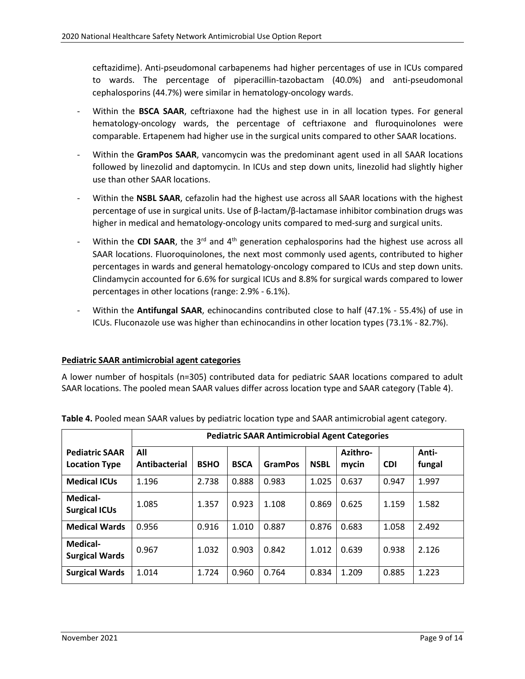ceftazidime). Anti-pseudomonal carbapenems had higher percentages of use in ICUs compared to wards. The percentage of piperacillin-tazobactam (40.0%) and anti-pseudomonal cephalosporins (44.7%) were similar in hematology-oncology wards.

- Within the **BSCA SAAR**, ceftriaxone had the highest use in in all location types. For general hematology-oncology wards, the percentage of ceftriaxone and fluroquinolones were comparable. Ertapenem had higher use in the surgical units compared to other SAAR locations.
- Within the GramPos SAAR, vancomycin was the predominant agent used in all SAAR locations followed by linezolid and daptomycin. In ICUs and step down units, linezolid had slightly higher use than other SAAR locations.
- Within the NSBL SAAR, cefazolin had the highest use across all SAAR locations with the highest percentage of use in surgical units. Use of β-lactam/β-lactamase inhibitor combination drugs was higher in medical and hematology-oncology units compared to med-surg and surgical units.
- Within the **CDI SAAR**, the 3<sup>rd</sup> and 4<sup>th</sup> generation cephalosporins had the highest use across all SAAR locations. Fluoroquinolones, the next most commonly used agents, contributed to higher percentages in wards and general hematology-oncology compared to ICUs and step down units. Clindamycin accounted for 6.6% for surgical ICUs and 8.8% for surgical wards compared to lower percentages in other locations (range: 2.9% - 6.1%).
- Within the **Antifungal SAAR**, echinocandins contributed close to half (47.1% 55.4%) of use in ICUs. Fluconazole use was higher than echinocandins in other location types (73.1% - 82.7%).

#### **Pediatric SAAR antimicrobial agent categories**

A lower number of hospitals (n=305) contributed data for pediatric SAAR locations compared to adult SAAR locations. The pooled mean SAAR values differ across location type and SAAR category (Table 4).

|                                               | <b>Pediatric SAAR Antimicrobial Agent Categories</b> |             |             |                |             |                   |            |                 |  |  |
|-----------------------------------------------|------------------------------------------------------|-------------|-------------|----------------|-------------|-------------------|------------|-----------------|--|--|
| <b>Pediatric SAAR</b><br><b>Location Type</b> | All<br>Antibacterial                                 | <b>BSHO</b> | <b>BSCA</b> | <b>GramPos</b> | <b>NSBL</b> | Azithro-<br>mycin | <b>CDI</b> | Anti-<br>fungal |  |  |
| <b>Medical ICUs</b>                           | 1.196                                                | 2.738       | 0.888       | 0.983          | 1.025       | 0.637             | 0.947      | 1.997           |  |  |
| <b>Medical-</b><br><b>Surgical ICUs</b>       | 1.085                                                | 1.357       | 0.923       | 1.108          | 0.869       | 0.625             | 1.159      | 1.582           |  |  |
| <b>Medical Wards</b>                          | 0.956                                                | 0.916       | 1.010       | 0.887          | 0.876       | 0.683             | 1.058      | 2.492           |  |  |
| <b>Medical-</b><br><b>Surgical Wards</b>      | 0.967                                                | 1.032       | 0.903       | 0.842          | 1.012       | 0.639             | 0.938      | 2.126           |  |  |
| <b>Surgical Wards</b>                         | 1.014                                                | 1.724       | 0.960       | 0.764          | 0.834       | 1.209             | 0.885      | 1.223           |  |  |

<span id="page-8-0"></span>**Table 4.** Pooled mean SAAR values by pediatric location type and SAAR antimicrobial agent category.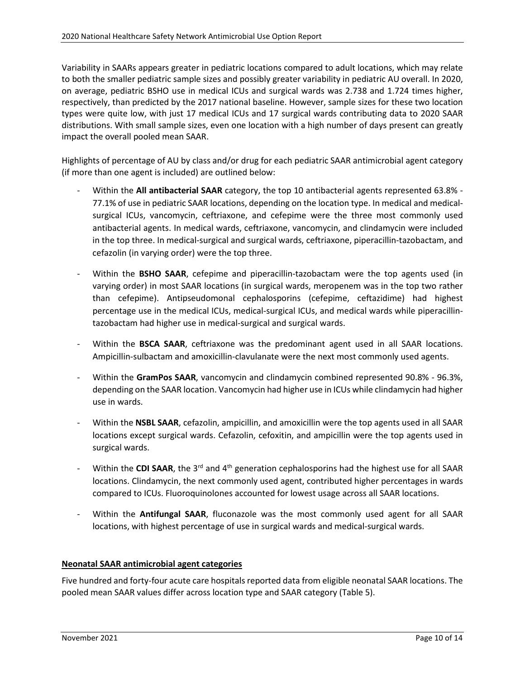Variability in SAARs appears greater in pediatric locations compared to adult locations, which may relate to both the smaller pediatric sample sizes and possibly greater variability in pediatric AU overall. In 2020, on average, pediatric BSHO use in medical ICUs and surgical wards was 2.738 and 1.724 times higher, respectively, than predicted by the 2017 national baseline. However, sample sizes for these two location types were quite low, with just 17 medical ICUs and 17 surgical wards contributing data to 2020 SAAR distributions. With small sample sizes, even one location with a high number of days present can greatly impact the overall pooled mean SAAR.

Highlights of percentage of AU by class and/or drug for each pediatric SAAR antimicrobial agent category (if more than one agent is included) are outlined below:

- Within the **All antibacterial SAAR** category, the top 10 antibacterial agents represented 63.8% 77.1% of use in pediatric SAAR locations, depending on the location type. In medical and medicalsurgical ICUs, vancomycin, ceftriaxone, and cefepime were the three most commonly used antibacterial agents. In medical wards, ceftriaxone, vancomycin, and clindamycin were included in the top three. In medical-surgical and surgical wards, ceftriaxone, piperacillin-tazobactam, and cefazolin (in varying order) were the top three.
- Within the **BSHO SAAR**, cefepime and piperacillin-tazobactam were the top agents used (in varying order) in most SAAR locations (in surgical wards, meropenem was in the top two rather than cefepime). Antipseudomonal cephalosporins (cefepime, ceftazidime) had highest percentage use in the medical ICUs, medical-surgical ICUs, and medical wards while piperacillintazobactam had higher use in medical-surgical and surgical wards.
- Within the **BSCA SAAR**, ceftriaxone was the predominant agent used in all SAAR locations. Ampicillin-sulbactam and amoxicillin-clavulanate were the next most commonly used agents.
- Within the **GramPos SAAR**, vancomycin and clindamycin combined represented 90.8% 96.3%, depending on the SAAR location. Vancomycin had higher use in ICUs while clindamycin had higher use in wards.
- Within the **NSBL SAAR**, cefazolin, ampicillin, and amoxicillin were the top agents used in all SAAR locations except surgical wards. Cefazolin, cefoxitin, and ampicillin were the top agents used in surgical wards.
- Within the CDI SAAR, the 3<sup>rd</sup> and 4<sup>th</sup> generation cephalosporins had the highest use for all SAAR locations. Clindamycin, the next commonly used agent, contributed higher percentages in wards compared to ICUs. Fluoroquinolones accounted for lowest usage across all SAAR locations.
- Within the **Antifungal SAAR**, fluconazole was the most commonly used agent for all SAAR locations, with highest percentage of use in surgical wards and medical-surgical wards.

#### **Neonatal SAAR antimicrobial agent categories**

Five hundred and forty-four acute care hospitals reported data from eligible neonatal SAAR locations. The pooled mean SAAR values differ across location type and SAAR category (Table 5).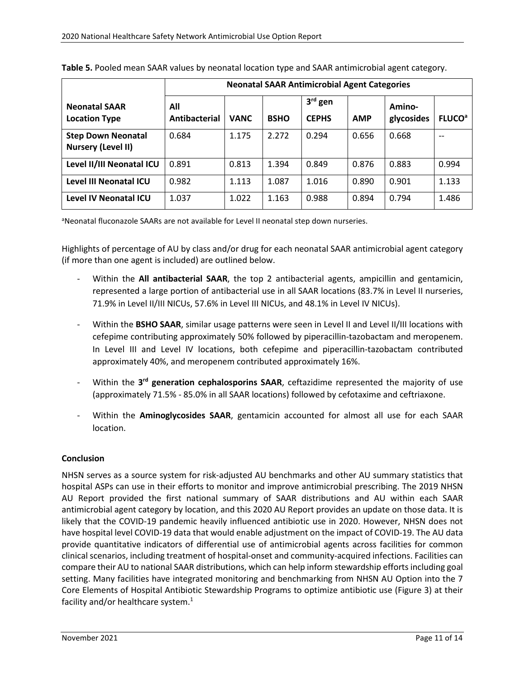|                                                        | <b>Neonatal SAAR Antimicrobial Agent Categories</b> |             |             |                           |            |                      |                          |  |  |
|--------------------------------------------------------|-----------------------------------------------------|-------------|-------------|---------------------------|------------|----------------------|--------------------------|--|--|
| <b>Neonatal SAAR</b><br><b>Location Type</b>           | All<br>Antibacterial                                | <b>VANC</b> | <b>BSHO</b> | $3rd$ gen<br><b>CEPHS</b> | <b>AMP</b> | Amino-<br>glycosides | <b>FLUCO<sup>a</sup></b> |  |  |
| <b>Step Down Neonatal</b><br><b>Nursery (Level II)</b> | 0.684                                               | 1.175       | 2.272       | 0.294                     | 0.656      | 0.668                |                          |  |  |
| Level II/III Neonatal ICU                              | 0.891                                               | 0.813       | 1.394       | 0.849                     | 0.876      | 0.883                | 0.994                    |  |  |
| Level III Neonatal ICU                                 | 0.982                                               | 1.113       | 1.087       | 1.016                     | 0.890      | 0.901                | 1.133                    |  |  |
| Level IV Neonatal ICU                                  | 1.037                                               | 1.022       | 1.163       | 0.988                     | 0.894      | 0.794                | 1.486                    |  |  |

<span id="page-10-0"></span>**Table 5.** Pooled mean SAAR values by neonatal location type and SAAR antimicrobial agent category.

<sup>a</sup>Neonatal fluconazole SAARs are not available for Level II neonatal step down nurseries.

Highlights of percentage of AU by class and/or drug for each neonatal SAAR antimicrobial agent category (if more than one agent is included) are outlined below.

- Within the **All antibacterial SAAR**, the top 2 antibacterial agents, ampicillin and gentamicin, represented a large portion of antibacterial use in all SAAR locations (83.7% in Level II nurseries, 71.9% in Level II/III NICUs, 57.6% in Level III NICUs, and 48.1% in Level IV NICUs).
- Within the BSHO SAAR, similar usage patterns were seen in Level II and Level II/III locations with cefepime contributing approximately 50% followed by piperacillin-tazobactam and meropenem. In Level III and Level IV locations, both cefepime and piperacillin-tazobactam contributed approximately 40%, and meropenem contributed approximately 16%.
- Within the 3<sup>rd</sup> generation cephalosporins SAAR, ceftazidime represented the majority of use (approximately 71.5% - 85.0% in all SAAR locations) followed by cefotaxime and ceftriaxone.
- Within the **Aminoglycosides SAAR**, gentamicin accounted for almost all use for each SAAR location.

#### <span id="page-10-1"></span>**Conclusion**

NHSN serves as a source system for risk-adjusted AU benchmarks and other AU summary statistics that hospital ASPs can use in their efforts to monitor and improve antimicrobial prescribing. The 2019 NHSN AU Report provided the first national summary of SAAR distributions and AU within each SAAR antimicrobial agent category by location, and this 2020 AU Report provides an update on those data. It is likely that the COVID-19 pandemic heavily influenced antibiotic use in 2020. However, NHSN does not have hospital level COVID-19 data that would enable adjustment on the impact of COVID-19. The AU data provide quantitative indicators of differential use of antimicrobial agents across facilities for common clinical scenarios, including treatment of hospital-onset and community-acquired infections. Facilities can compare their AU to national SAAR distributions, which can help inform stewardship efforts including goal setting. Many facilities have integrated monitoring and benchmarking from NHSN AU Option into the 7 Core Elements of Hospital Antibiotic Stewardship Programs to optimize antibiotic use (Figure 3) at their facility and/or healthcare system.<sup>1</sup>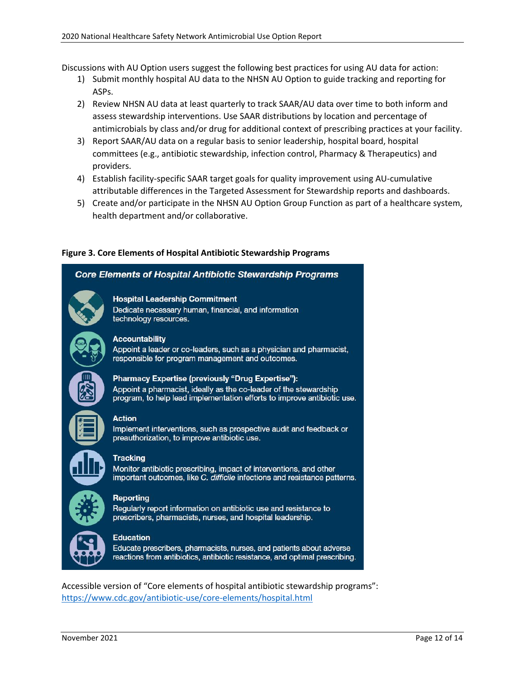Discussions with AU Option users suggest the following best practices for using AU data for action:

- 1) Submit monthly hospital AU data to the NHSN AU Option to guide tracking and reporting for ASPs.
- 2) Review NHSN AU data at least quarterly to track SAAR/AU data over time to both inform and assess stewardship interventions. Use SAAR distributions by location and percentage of antimicrobials by class and/or drug for additional context of prescribing practices at your facility.
- 3) Report SAAR/AU data on a regular basis to senior leadership, hospital board, hospital committees (e.g., antibiotic stewardship, infection control, Pharmacy & Therapeutics) and providers.
- 4) Establish facility-specific SAAR target goals for quality improvement using AU-cumulative attributable differences in the Targeted Assessment for Stewardship reports and dashboards.
- 5) Create and/or participate in the NHSN AU Option Group Function as part of a healthcare system, health department and/or collaborative.

#### <span id="page-11-0"></span>**Figure 3. Core Elements of Hospital Antibiotic Stewardship Programs**

#### **Core Elements of Hospital Antibiotic Stewardship Programs**



Dedicate necessary human, financial, and information technology resources.

#### **Accountability**

Appoint a leader or co-leaders, such as a physician and pharmacist, responsible for program management and outcomes.



#### Pharmacy Expertise (previously "Drug Expertise"):

Appoint a pharmacist, ideally as the co-leader of the stewardship program, to help lead implementation efforts to improve antibiotic use.

#### **Action**

Implement interventions, such as prospective audit and feedback or preauthorization, to improve antibiotic use.



#### **Tracking**

Monitor antibiotic prescribing, impact of interventions, and other important outcomes, like C. difficile infections and resistance patterns.



#### Reporting

Regularly report information on antibiotic use and resistance to prescribers, pharmacists, nurses, and hospital leadership.

#### **Education**

Educate prescribers, pharmacists, nurses, and patients about adverse reactions from antibiotics, antibiotic resistance, and optimal prescribing.

Accessible version of "Core elements of hospital antibiotic stewardship programs": <https://www.cdc.gov/antibiotic-use/core-elements/hospital.html>